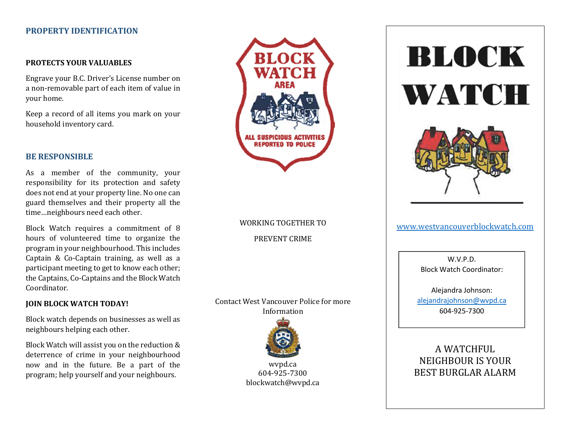#### PROPERTY IDENTIFICATION

#### PROTECTS YOUR VALUABLES

Engrave your B.C. Driver's License number on a non-removable part of each item of value in your home.

Keep a record of all items you mark on your household inventory card.

#### BE RESPONSIBLE

As a member of the community, your responsibility for its protection and safety does not end at your property line. No one can guard themselves and their property all the time…neighbours need each other.

Block Watch requires a commitment of 8 hours of volunteered time to organize the program in your neighbourhood. This includes Captain & Co-Captain training, as well as a participant meeting to get to know each other; the Captains, Co-Captains and the Block Watch Coordinator.

#### JOIN BLOCK WATCH TODAY!

Block watch depends on businesses as well as neighbours helping each other.

Block Watch will assist you on the reduction & deterrence of crime in your neighbourhood now and in the future. Be a part of the program; help yourself and your neighbours.



# WORKING TOGETHER TO PREVENT CRIME

Contact West Vancouver Police for more Information



wvpd.ca 604-925-7300 blockwatch@wvpd.ca





#### www.westvancouverblockwatch.com

W.V.P.D. Block Watch Coordinator:

Alejandra Johnson: alejandrajohnson@wvpd.ca 604-925-7300

A WATCHFUL NEIGHBOUR IS YOUR BEST BURGLAR ALARM